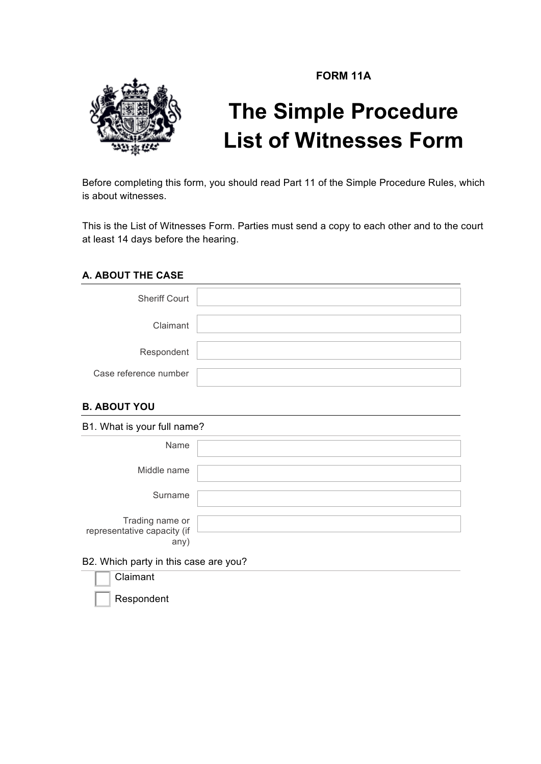**FORM 11A**



# **The Simple Procedure List of Witnesses Form**

Before completing this form, you should read Part 11 of the Simple Procedure Rules, which is about witnesses.

This is the List of Witnesses Form. Parties must send a copy to each other and to the court at least 14 days before the hearing.

## **A. ABOUT THE CASE**

| <b>Sheriff Court</b>  |  |
|-----------------------|--|
| Claimant              |  |
| Respondent            |  |
| Case reference number |  |

## **B. ABOUT YOU**

| B1. What is your full name?                            |  |  |
|--------------------------------------------------------|--|--|
| Name                                                   |  |  |
| Middle name                                            |  |  |
| Surname                                                |  |  |
| Trading name or<br>representative capacity (if<br>any) |  |  |
| B2. Which party in this case are you?                  |  |  |
| Claimant                                               |  |  |

**Respondent**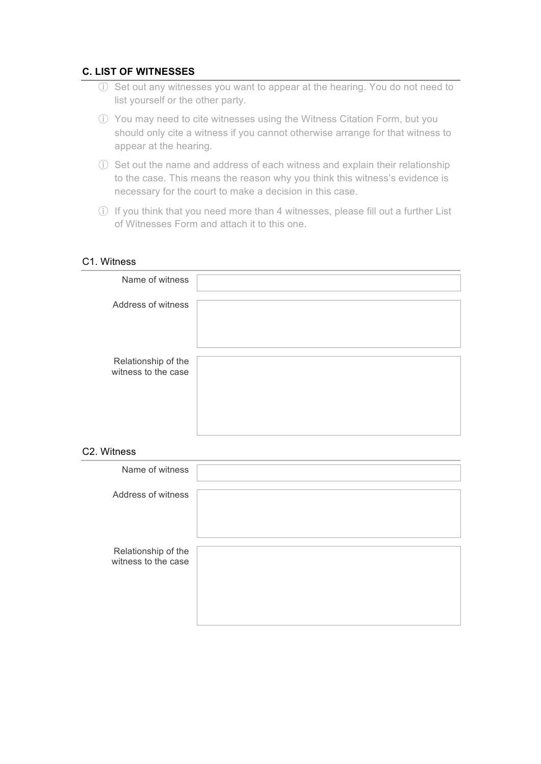### **C. LIST OF WITNESSES**

- ⓘ Set out any witnesses you want to appear at the hearing. You do not need to list yourself or the other party.
- ⓘ You may need to cite witnesses using the Witness Citation Form, but you should only cite a witness if you cannot otherwise arrange for that witness to appear at the hearing.
- ⓘ Set out the name and address of each witness and explain their relationship to the case. This means the reason why you think this witness's evidence is necessary for the court to make a decision in this case.
- ⓘ If you think that you need more than 4 witnesses, please fill out a further List of Witnesses Form and attach it to this one.

#### C1. Witness

| Name of witness                            |  |
|--------------------------------------------|--|
| Address of witness                         |  |
|                                            |  |
|                                            |  |
| Relationship of the<br>witness to the case |  |
|                                            |  |
|                                            |  |
|                                            |  |

#### C2. Witness